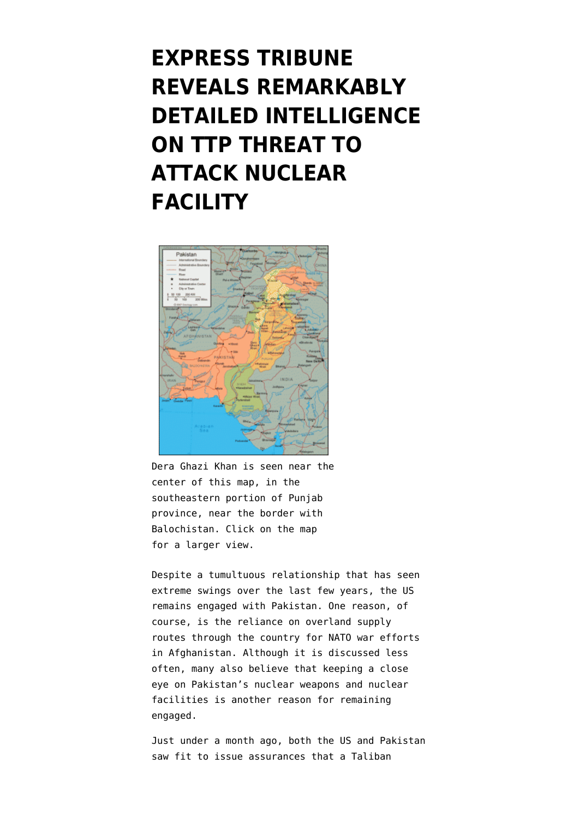## **[EXPRESS TRIBUNE](https://www.emptywheel.net/2012/09/07/express-tribune-reveals-remarkably-detailed-intelligence-on-ttp-threat-to-attack-nuclear-facility/) [REVEALS REMARKABLY](https://www.emptywheel.net/2012/09/07/express-tribune-reveals-remarkably-detailed-intelligence-on-ttp-threat-to-attack-nuclear-facility/) [DETAILED INTELLIGENCE](https://www.emptywheel.net/2012/09/07/express-tribune-reveals-remarkably-detailed-intelligence-on-ttp-threat-to-attack-nuclear-facility/) [ON TTP THREAT TO](https://www.emptywheel.net/2012/09/07/express-tribune-reveals-remarkably-detailed-intelligence-on-ttp-threat-to-attack-nuclear-facility/) [ATTACK NUCLEAR](https://www.emptywheel.net/2012/09/07/express-tribune-reveals-remarkably-detailed-intelligence-on-ttp-threat-to-attack-nuclear-facility/) [FACILITY](https://www.emptywheel.net/2012/09/07/express-tribune-reveals-remarkably-detailed-intelligence-on-ttp-threat-to-attack-nuclear-facility/)**



Dera Ghazi Khan is seen near the center of this map, in the southeastern portion of Punjab province, near the border with Balochistan. Click on the map for a larger view.

Despite a tumultuous relationship that has seen extreme swings over the last few years, the US remains engaged with Pakistan. One reason, of course, is the reliance on overland supply routes through the country for NATO war efforts in Afghanistan. Although it is discussed less often, many also believe that keeping a close eye on Pakistan's nuclear weapons and nuclear facilities is another reason for remaining engaged.

Just under a month ago, both the [US](http://dawn.com/2012/08/17/us-confident-of-pakistan-nuclear-security/) and [Pakistan](http://dawn.com/2012/08/16/pakistan-reassures-nuclear-assets-in-safe-hands/) saw fit to issue assurances that a [Taliban](http://www.bbc.co.uk/news/world-asia-19278302)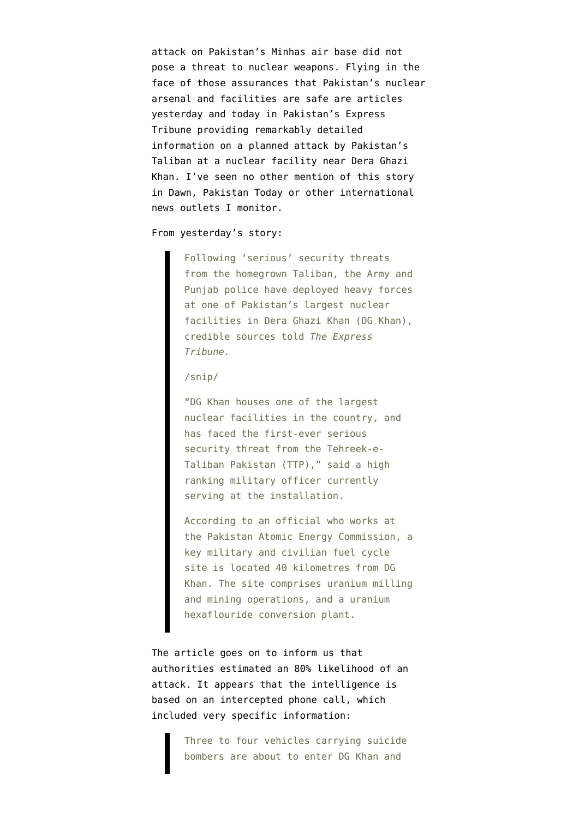[attack on Pakistan's Minhas air base](http://www.bbc.co.uk/news/world-asia-19278302) did not pose a threat to nuclear weapons. Flying in the face of those assurances that Pakistan's nuclear arsenal and facilities are safe are articles [yesterday](http://tribune.com.pk/story/432295/taliban-threat-nuclear-site-in-dg-khan-cordoned-off/) and [today](http://tribune.com.pk/story/432846/ttp-punjab-rehearsed-attack-on-nuclear-site-report/) in Pakistan's Express Tribune providing remarkably detailed information on a planned attack by Pakistan's Taliban at a nuclear facility near Dera Ghazi Khan. I've seen no other mention of this story in Dawn, Pakistan Today or other international news outlets I monitor.

## From yesterday's story:

Following 'serious' security threats from the homegrown Taliban, the Army and Punjab police have deployed heavy forces at one of Pakistan's largest nuclear facilities in Dera Ghazi Khan (DG Khan), credible sources told *The Express Tribune.*

## /snip/

"DG Khan houses one of the largest nuclear facilities in the country, and has faced the first-ever serious security threat from the Tehreek-e-Taliban Pakistan (TTP)," said a high ranking military officer currently serving at the installation.

According to an official who works at the Pakistan Atomic Energy Commission, a key military and civilian fuel cycle site is located 40 kilometres from DG Khan. The site comprises uranium milling and mining operations, and a uranium hexaflouride conversion plant.

The article goes on to inform us that authorities estimated an 80% likelihood of an attack. It appears that the intelligence is based on an intercepted phone call, which included very specific information:

> Three to four vehicles carrying suicide bombers are about to enter DG Khan and